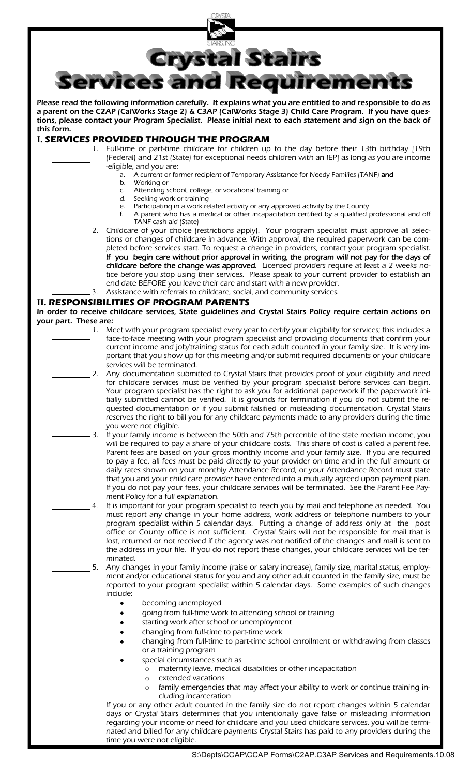

Please read the following information carefully. It explains what you are entitled to and responsible to do as a parent on the C2AP (CalWorks Stage 2) & C3AP (CalWorks Stage 3) Child Care Program. If you have questions, please contact your Program Specialist. Please initial next to each statement and sign on the back of this form.

## **I. SERVICES PROVIDED THROUGH THE PROGRAM**

- 1. Full-time or part-time childcare for children up to the day before their 13th birthday [19th (Federal) and 21st (State) for exceptional needs children with an IEP] as long as you are income -eligible, and you are:
	- a. A current or former recipient of Temporary Assistance for Needy Families (TANF) and
	- b. Working or
	- c. Attending school, college, or vocational training or
	- d. Seeking work or training
	- e. Participating in a work related activity or any approved activity by the County f. A parent who has a medical or other incapacitation certified by a qualified professional and off
	- TANF cash aid (State)
- 2. Childcare of your choice (restrictions apply). Your program specialist must approve all selections or changes of childcare in advance. With approval, the required paperwork can be completed before services start. To request a change in providers, contact your program specialist. If you begin care without prior approval in writing, the program will not pay for the days of childcare before the change was approved. Licensed providers require at least a 2 weeks notice before you stop using their services. Please speak to your current provider to establish an end date BEFORE you leave their care and start with a new provider.

3. Assistance with referrals to childcare, social, and community services.

## **II. RESPONSIBILITIES OF PROGRAM PARENTS**

In order to receive childcare services, State guidelines and Crystal Stairs Policy require certain actions on your part. These are:

- 1. Meet with your program specialist every year to certify your eligibility for services; this includes a face-to-face meeting with your program specialist and providing documents that confirm your current income and job/training status for each adult counted in your family size. It is very important that you show up for this meeting and/or submit required documents or your childcare services will be terminated.
	- 2. Any documentation submitted to Crystal Stairs that provides proof of your eligibility and need for childcare services must be verified by your program specialist before services can begin. Your program specialist has the right to ask you for additional paperwork if the paperwork initially submitted cannot be verified. It is grounds for termination if you do not submit the requested documentation or if you submit falsified or misleading documentation. Crystal Stairs reserves the right to bill you for any childcare payments made to any providers during the time you were not eligible.
	- 3. If your family income is between the 50th and 75th percentile of the state median income, you will be required to pay a share of your childcare costs. This share of cost is called a parent fee. Parent fees are based on your gross monthly income and your family size. If you are required to pay a fee, all fees must be paid directly to your provider on time and in the full amount or daily rates shown on your monthly Attendance Record, or your Attendance Record must state that you and your child care provider have entered into a mutually agreed upon payment plan. If you do not pay your fees, your childcare services will be terminated. See the Parent Fee Payment Policy for a full explanation.
		- 4. It is important for your program specialist to reach you by mail and telephone as needed. You must report any change in your home address, work address or telephone numbers to your program specialist within 5 calendar days. Putting a change of address only at the post office or County office is not sufficient. Crystal Stairs will not be responsible for mail that is lost, returned or not received if the agency was not notified of the changes and mail is sent to the address in your file. If you do not report these changes, your childcare services will be terminated.
		- 5. Any changes in your family income (raise or salary increase), family size, marital status, employment and/or educational status for you and any other adult counted in the family size, must be reported to your program specialist within 5 calendar days. Some examples of such changes include:
			- becoming unemployed
			- going from full-time work to attending school or training
			- starting work after school or unemployment
			- changing from full-time to part-time work
			- changing from full-time to part-time school enrollment or withdrawing from classes or a training program
			- special circumstances such as
				- o maternity leave, medical disabilities or other incapacitation
				- o extended vacations
				- o family emergencies that may affect your ability to work or continue training including incarceration

If you or any other adult counted in the family size do not report changes within 5 calendar days or Crystal Stairs determines that you intentionally gave false or misleading information regarding your income or need for childcare and you used childcare services, you will be terminated and billed for any childcare payments Crystal Stairs has paid to any providers during the time you were not eligible.